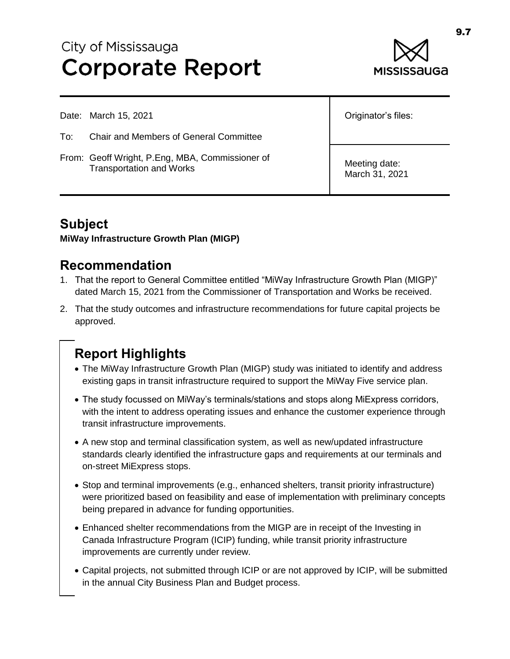# City of Mississauga **Corporate Report**



Date: March 15, 2021

- To: Chair and Members of General Committee
- From: Geoff Wright, P.Eng, MBA, Commissioner of Transportation and Works

Originator's files:

Meeting date: March 31, 2021

### **Subject**

**MiWay Infrastructure Growth Plan (MIGP)**

### **Recommendation**

- 1. That the report to General Committee entitled "MiWay Infrastructure Growth Plan (MIGP)" dated March 15, 2021 from the Commissioner of Transportation and Works be received.
- 2. That the study outcomes and infrastructure recommendations for future capital projects be approved.

# **Report Highlights**

- The MiWay Infrastructure Growth Plan (MIGP) study was initiated to identify and address existing gaps in transit infrastructure required to support the MiWay Five service plan.
- The study focussed on MiWay's terminals/stations and stops along MiExpress corridors, with the intent to address operating issues and enhance the customer experience through transit infrastructure improvements.
- A new stop and terminal classification system, as well as new/updated infrastructure standards clearly identified the infrastructure gaps and requirements at our terminals and on-street MiExpress stops.
- Stop and terminal improvements (e.g., enhanced shelters, transit priority infrastructure) were prioritized based on feasibility and ease of implementation with preliminary concepts being prepared in advance for funding opportunities.
- Enhanced shelter recommendations from the MIGP are in receipt of the Investing in Canada Infrastructure Program (ICIP) funding, while transit priority infrastructure improvements are currently under review.
- Capital projects, not submitted through ICIP or are not approved by ICIP, will be submitted in the annual City Business Plan and Budget process.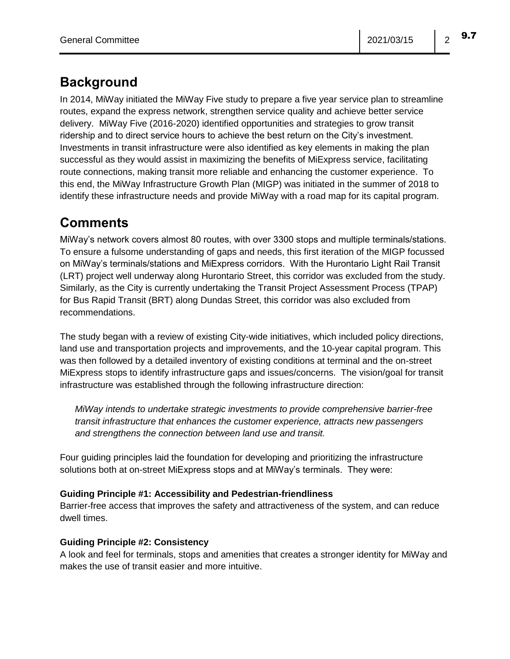### **Background**

In 2014, MiWay initiated the MiWay Five study to prepare a five year service plan to streamline routes, expand the express network, strengthen service quality and achieve better service delivery. MiWay Five (2016-2020) identified opportunities and strategies to grow transit ridership and to direct service hours to achieve the best return on the City's investment. Investments in transit infrastructure were also identified as key elements in making the plan successful as they would assist in maximizing the benefits of MiExpress service, facilitating route connections, making transit more reliable and enhancing the customer experience. To this end, the MiWay Infrastructure Growth Plan (MIGP) was initiated in the summer of 2018 to identify these infrastructure needs and provide MiWay with a road map for its capital program.

## **Comments**

MiWay's network covers almost 80 routes, with over 3300 stops and multiple terminals/stations. To ensure a fulsome understanding of gaps and needs, this first iteration of the MIGP focussed on MiWay's terminals/stations and MiExpress corridors. With the Hurontario Light Rail Transit (LRT) project well underway along Hurontario Street, this corridor was excluded from the study. Similarly, as the City is currently undertaking the Transit Project Assessment Process (TPAP) for Bus Rapid Transit (BRT) along Dundas Street, this corridor was also excluded from recommendations.

The study began with a review of existing City-wide initiatives, which included policy directions, land use and transportation projects and improvements, and the 10-year capital program. This was then followed by a detailed inventory of existing conditions at terminal and the on-street MiExpress stops to identify infrastructure gaps and issues/concerns. The vision/goal for transit infrastructure was established through the following infrastructure direction:

*MiWay intends to undertake strategic investments to provide comprehensive barrier-free transit infrastructure that enhances the customer experience, attracts new passengers and strengthens the connection between land use and transit.*

Four guiding principles laid the foundation for developing and prioritizing the infrastructure solutions both at on-street MiExpress stops and at MiWay's terminals. They were:

### **Guiding Principle #1: Accessibility and Pedestrian-friendliness**

Barrier-free access that improves the safety and attractiveness of the system, and can reduce dwell times.

### **Guiding Principle #2: Consistency**

A look and feel for terminals, stops and amenities that creates a stronger identity for MiWay and makes the use of transit easier and more intuitive.

9.7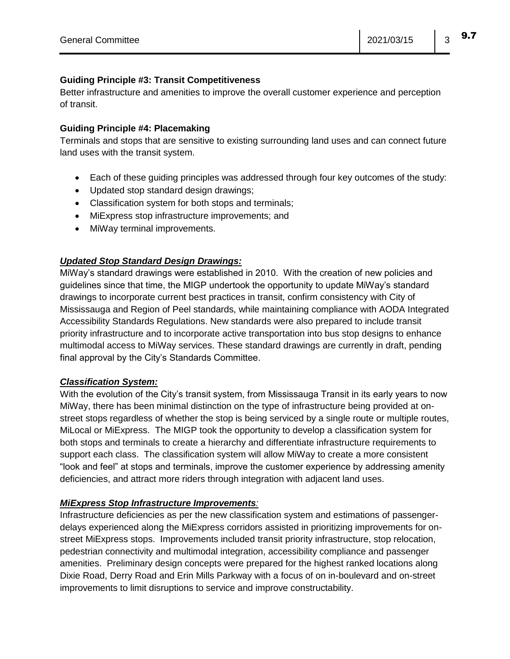#### **Guiding Principle #3: Transit Competitiveness**

Better infrastructure and amenities to improve the overall customer experience and perception of transit.

#### **Guiding Principle #4: Placemaking**

Terminals and stops that are sensitive to existing surrounding land uses and can connect future land uses with the transit system.

- Each of these guiding principles was addressed through four key outcomes of the study:
- Updated stop standard design drawings;
- Classification system for both stops and terminals;
- MiExpress stop infrastructure improvements; and
- MiWay terminal improvements.

#### *Updated Stop Standard Design Drawings:*

MiWay's standard drawings were established in 2010. With the creation of new policies and guidelines since that time, the MIGP undertook the opportunity to update MiWay's standard drawings to incorporate current best practices in transit, confirm consistency with City of Mississauga and Region of Peel standards, while maintaining compliance with AODA Integrated Accessibility Standards Regulations. New standards were also prepared to include transit priority infrastructure and to incorporate active transportation into bus stop designs to enhance multimodal access to MiWay services. These standard drawings are currently in draft, pending final approval by the City's Standards Committee.

#### *Classification System:*

With the evolution of the City's transit system, from Mississauga Transit in its early years to now MiWay, there has been minimal distinction on the type of infrastructure being provided at onstreet stops regardless of whether the stop is being serviced by a single route or multiple routes, MiLocal or MiExpress. The MIGP took the opportunity to develop a classification system for both stops and terminals to create a hierarchy and differentiate infrastructure requirements to support each class. The classification system will allow MiWay to create a more consistent "look and feel" at stops and terminals, improve the customer experience by addressing amenity deficiencies, and attract more riders through integration with adjacent land uses.

#### *MiExpress Stop Infrastructure Improvements:*

Infrastructure deficiencies as per the new classification system and estimations of passengerdelays experienced along the MiExpress corridors assisted in prioritizing improvements for onstreet MiExpress stops. Improvements included transit priority infrastructure, stop relocation, pedestrian connectivity and multimodal integration, accessibility compliance and passenger amenities. Preliminary design concepts were prepared for the highest ranked locations along Dixie Road, Derry Road and Erin Mills Parkway with a focus of on in-boulevard and on-street improvements to limit disruptions to service and improve constructability.

9.7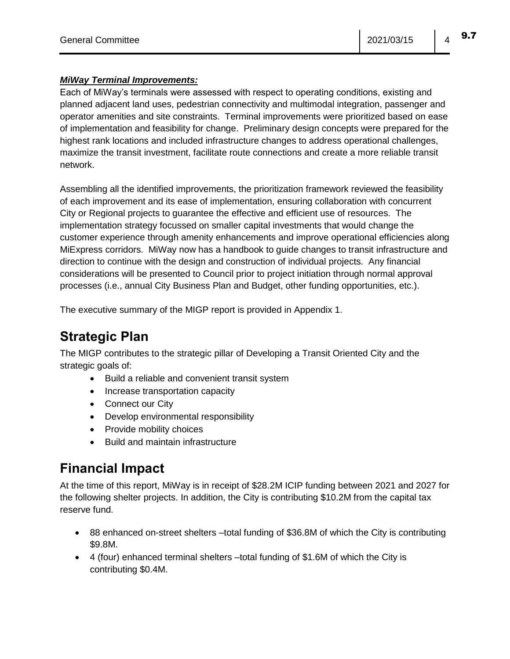#### *MiWay Terminal Improvements:*

Each of MiWay's terminals were assessed with respect to operating conditions, existing and planned adjacent land uses, pedestrian connectivity and multimodal integration, passenger and operator amenities and site constraints. Terminal improvements were prioritized based on ease of implementation and feasibility for change. Preliminary design concepts were prepared for the highest rank locations and included infrastructure changes to address operational challenges, maximize the transit investment, facilitate route connections and create a more reliable transit network.

Assembling all the identified improvements, the prioritization framework reviewed the feasibility of each improvement and its ease of implementation, ensuring collaboration with concurrent City or Regional projects to guarantee the effective and efficient use of resources. The implementation strategy focussed on smaller capital investments that would change the customer experience through amenity enhancements and improve operational efficiencies along MiExpress corridors. MiWay now has a handbook to guide changes to transit infrastructure and direction to continue with the design and construction of individual projects. Any financial considerations will be presented to Council prior to project initiation through normal approval processes (i.e., annual City Business Plan and Budget, other funding opportunities, etc.).

The executive summary of the MIGP report is provided in Appendix 1.

## **Strategic Plan**

The MIGP contributes to the strategic pillar of Developing a Transit Oriented City and the strategic goals of:

- Build a reliable and convenient transit system
- Increase transportation capacity
- Connect our City
- Develop environmental responsibility
- Provide mobility choices
- Build and maintain infrastructure

### **Financial Impact**

At the time of this report, MiWay is in receipt of \$28.2M ICIP funding between 2021 and 2027 for the following shelter projects. In addition, the City is contributing \$10.2M from the capital tax reserve fund.

- 88 enhanced on-street shelters –total funding of \$36.8M of which the City is contributing \$9.8M.
- 4 (four) enhanced terminal shelters –total funding of \$1.6M of which the City is contributing \$0.4M.

9.7